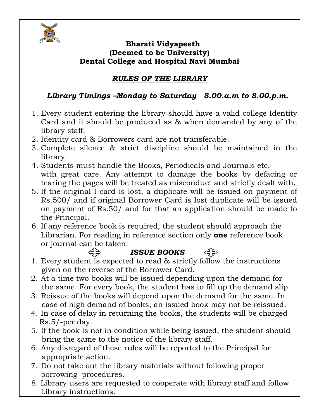

#### **Bharati Vidyapeeth (Deemed to be University) Dental College and Hospital Navi Mumbai**

### *RULES OF THE LIBRARY*

### *Library Timings –Monday to Saturday 8.00.a.m to 8.00.p.m.*

- 1. Every student entering the library should have a valid college Identity Card and it should be produced as & when demanded by any of the library staff.
- 2. Identity card & Borrowers card are not transferable.
- 3. Complete silence & strict discipline should be maintained in the library.
- 4. Students must handle the Books, Periodicals and Journals etc. with great care. Any attempt to damage the books by defacing or tearing the pages will be treated as misconduct and strictly dealt with.
- 5. If the original I-card is lost, a duplicate will be issued on payment of Rs.500/ and if original Borrower Card is lost duplicate will be issued on payment of Rs.50/ and for that an application should be made to the Principal.
- 6. If any reference book is required, the student should approach the Librarian. For reading in reference section only **one** reference book or journal can be taken.

### *ISSUE BOOKS*

- 1. Every student is expected to read & strictly follow the instructions given on the reverse of the Borrower Card.
- 2. At a time two books will be issued depending upon the demand for the same. For every book, the student has to fill up the demand slip.
- 3. Reissue of the books will depend upon the demand for the same. In case of high demand of books, an issued book may not be reissued.
- 4. In case of delay in returning the books, the students will be charged Rs.5/-per day.
- 5. If the book is not in condition while being issued, the student should bring the same to the notice of the library staff.
- 6. Any disregard of these rules will be reported to the Principal for appropriate action.
- 7. Do not take out the library materials without following proper borrowing procedures.
- 8. Library users are requested to cooperate with library staff and follow Library instructions.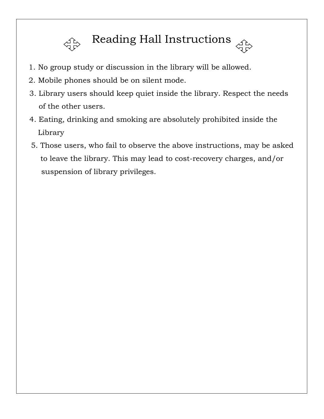

# Reading Hall Instructions

- 1. No group study or discussion in the library will be allowed.
- 2. Mobile phones should be on silent mode.
- 3. Library users should keep quiet inside the library. Respect the needs of the other users.
- 4. Eating, drinking and smoking are absolutely prohibited inside the Library
- 5. Those users, who fail to observe the above instructions, may be asked to leave the library. This may lead to cost-recovery charges, and/or suspension of library privileges.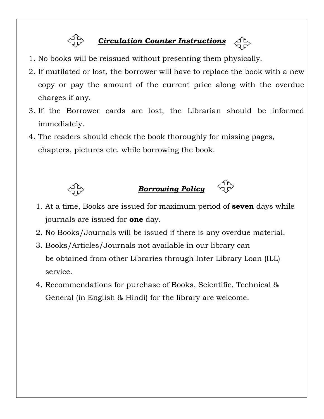

### *Circulation Counter Instructions*

- 1. No books will be reissued without presenting them physically.
- 2. If mutilated or lost, the borrower will have to replace the book with a new copy or pay the amount of the current price along with the overdue charges if any.
- 3. If the Borrower cards are lost, the Librarian should be informed immediately.
- 4. The readers should check the book thoroughly for missing pages, chapters, pictures etc. while borrowing the book.



## *Borrowing Policy*

- 1. At a time, Books are issued for maximum period of **seven** days while journals are issued for **one** day.
- 2. No Books/Journals will be issued if there is any overdue material.
- 3. Books/Articles/Journals not available in our library can be obtained from other Libraries through Inter Library Loan (ILL) service.
- 4. Recommendations for purchase of Books, Scientific, Technical & General (in English & Hindi) for the library are welcome.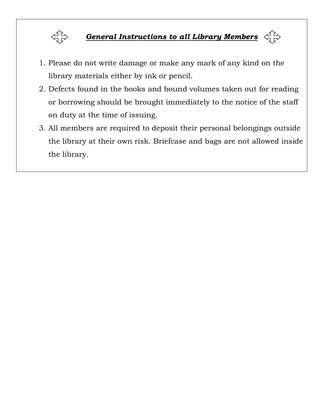

## *General Instructions to all Library Members*

- 1. Please do not write damage or make any mark of any kind on the library materials either by ink or pencil.
- 2. Defects found in the books and bound volumes taken out for reading or borrowing should be brought immediately to the notice of the staff on duty at the time of issuing.
- 3. All members are required to deposit their personal belongings outside the library at their own risk. Briefcase and bags are not allowed inside the library.